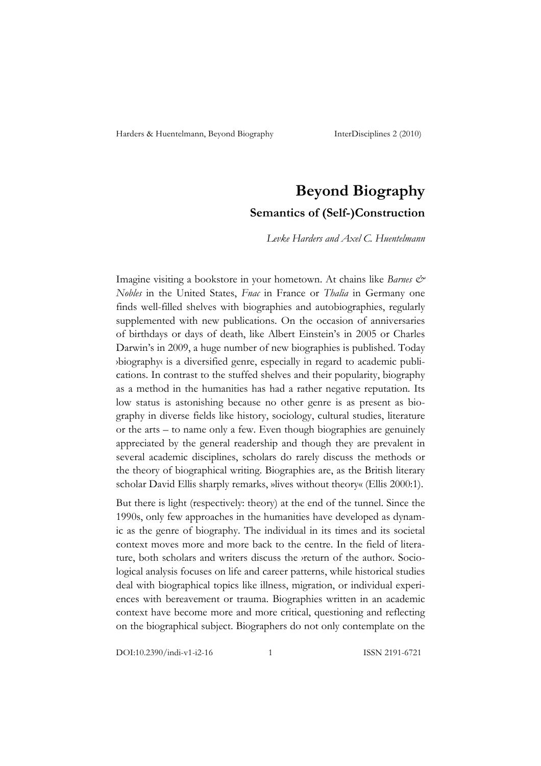## **Beyond Biography Semantics of (Self-)Construction**

*Levke Harders and Axel C. Huentelmann*

Imagine visiting a bookstore in your hometown. At chains like *Barnes & Nobles* in the United States, *Fnac* in France or *Thalia* in Germany one finds well-filled shelves with biographies and autobiographies, regularly supplemented with new publications. On the occasion of anniversaries of birthdays or days of death, like Albert Einstein's in 2005 or Charles Darwin's in 2009, a huge number of new biographies is published. Today ›biography‹ is a diversified genre, especially in regard to academic publications. In contrast to the stuffed shelves and their popularity, biography as a method in the humanities has had a rather negative reputation. Its low status is astonishing because no other genre is as present as biography in diverse fields like history, sociology, cultural studies, literature or the arts – to name only a few. Even though biographies are genuinely appreciated by the general readership and though they are prevalent in several academic disciplines, scholars do rarely discuss the methods or the theory of biographical writing. Biographies are, as the British literary scholar David Ellis sharply remarks, »lives without theory« (Ellis 2000:1).

But there is light (respectively: theory) at the end of the tunnel. Since the 1990s, only few approaches in the humanities have developed as dynamic as the genre of biography. The individual in its times and its societal context moves more and more back to the centre. In the field of literature, both scholars and writers discuss the ›return of the author‹. Sociological analysis focuses on life and career patterns, while historical studies deal with biographical topics like illness, migration, or individual experiences with bereavement or trauma. Biographies written in an academic context have become more and more critical, questioning and reflecting on the biographical subject. Biographers do not only contemplate on the

DOI:10.2390/indi-v1-i2-16 1 ISSN 2191-6721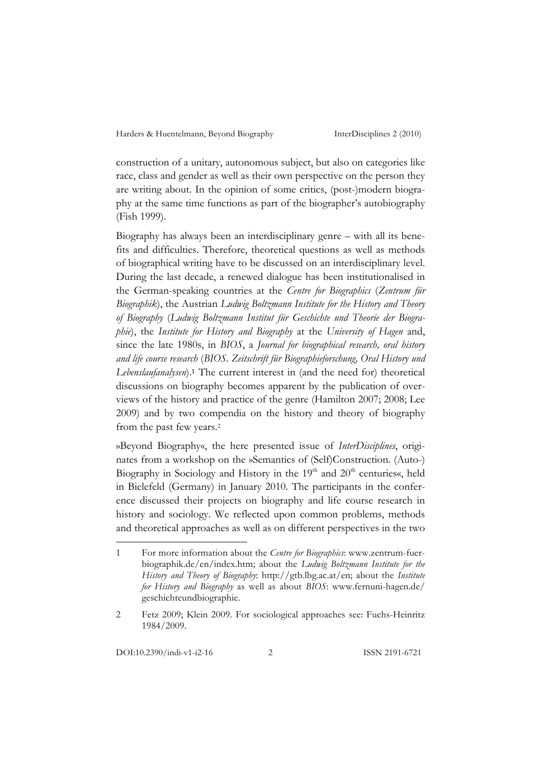construction of a unitary, autonomous subject, but also on categories like race, class and gender as well as their own perspective on the person they are writing about. In the opinion of some critics, (post-)modern biography at the same time functions as part of the biographer's autobiography (Fish 1999).

Biography has always been an interdisciplinary genre – with all its benefits and difficulties. Therefore, theoretical questions as well as methods of biographical writing have to be discussed on an interdisciplinary level. During the last decade, a renewed dialogue has been institutionalised in the German-speaking countries at the *Centre for Biographics* (*Zentrum für Biographik*), the Austrian *Ludwig Boltzmann Institute for the History and Theory of Biography* (*Ludwig Boltzmann Institut für Geschichte und Theorie der Biographie*), the *Institute for History and Biography* at the *University of Hagen* and, since the late 1980s, in *BIOS*, a *Journal for biographical research, oral history and life course research* (*BIOS. Zeitschrift für Biographieforschung, Oral History und Lebenslaufanalysen*).1 The current interest in (and the need for) theoretical discussions on biography becomes apparent by the publication of overviews of the history and practice of the genre (Hamilton 2007; 2008; Lee 2009) and by two compendia on the history and theory of biography from the past few years.2

»Beyond Biography«, the here presented issue of *InterDisciplines*, originates from a workshop on the »Semantics of (Self)Construction. (Auto-) Biography in Sociology and History in the 19<sup>th</sup> and 20<sup>th</sup> centuries«, held in Bielefeld (Germany) in January 2010. The participants in the conference discussed their projects on biography and life course research in history and sociology. We reflected upon common problems, methods and theoretical approaches as well as on different perspectives in the two

<sup>1</sup> For more information about the *Centre for Biographics*: www.zentrum-fuerbiographik.de/en/index.htm; about the *Ludwig Boltzmann Institute for the History and Theory of Biography*: http://gtb.lbg.ac.at/en; about the *Institute for History and Biography* as well as about *BIOS*: www.fernuni-hagen.de/ geschichteundbiographie.

<sup>2</sup> Fetz 2009; Klein 2009. For sociological approaches see: Fuchs-Heinritz 1984/2009.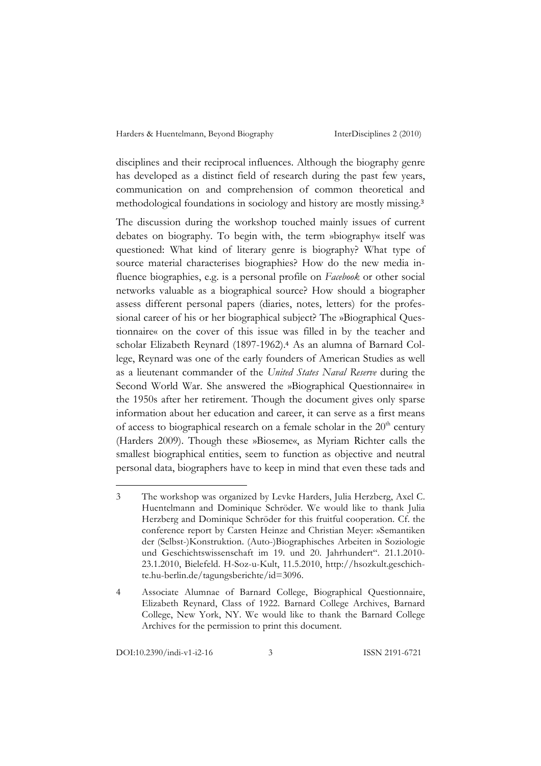disciplines and their reciprocal influences. Although the biography genre has developed as a distinct field of research during the past few years, communication on and comprehension of common theoretical and methodological foundations in sociology and history are mostly missing.<sup>3</sup>

The discussion during the workshop touched mainly issues of current debates on biography. To begin with, the term »biography« itself was questioned: What kind of literary genre is biography? What type of source material characterises biographies? How do the new media influence biographies, e.g. is a personal profile on *Facebook* or other social networks valuable as a biographical source? How should a biographer assess different personal papers (diaries, notes, letters) for the professional career of his or her biographical subject? The »Biographical Questionnaire« on the cover of this issue was filled in by the teacher and scholar Elizabeth Reynard (1897-1962).<sup>4</sup> As an alumna of Barnard College, Reynard was one of the early founders of American Studies as well as a lieutenant commander of the *United States Naval Reserve* during the Second World War. She answered the »Biographical Questionnaire« in the 1950s after her retirement. Though the document gives only sparse information about her education and career, it can serve as a first means of access to biographical research on a female scholar in the  $20<sup>th</sup>$  century (Harders 2009). Though these »Bioseme«, as Myriam Richter calls the smallest biographical entities, seem to function as objective and neutral personal data, biographers have to keep in mind that even these tads and

<sup>3</sup> The workshop was organized by Levke Harders, Julia Herzberg, Axel C. Huentelmann and Dominique Schröder. We would like to thank Julia Herzberg and Dominique Schröder for this fruitful cooperation. Cf. the conference report by Carsten Heinze and Christian Meyer: »Semantiken der (Selbst-)Konstruktion. (Auto-)Biographisches Arbeiten in Soziologie und Geschichtswissenschaft im 19. und 20. Jahrhundert". 21.1.2010- 23.1.2010, Bielefeld. H-Soz-u-Kult, 11.5.2010, http://hsozkult.geschichte.hu-berlin.de/tagungsberichte/id=3096.

<sup>4</sup> Associate Alumnae of Barnard College, Biographical Questionnaire, Elizabeth Reynard, Class of 1922. Barnard College Archives, Barnard College, New York, NY. We would like to thank the Barnard College Archives for the permission to print this document.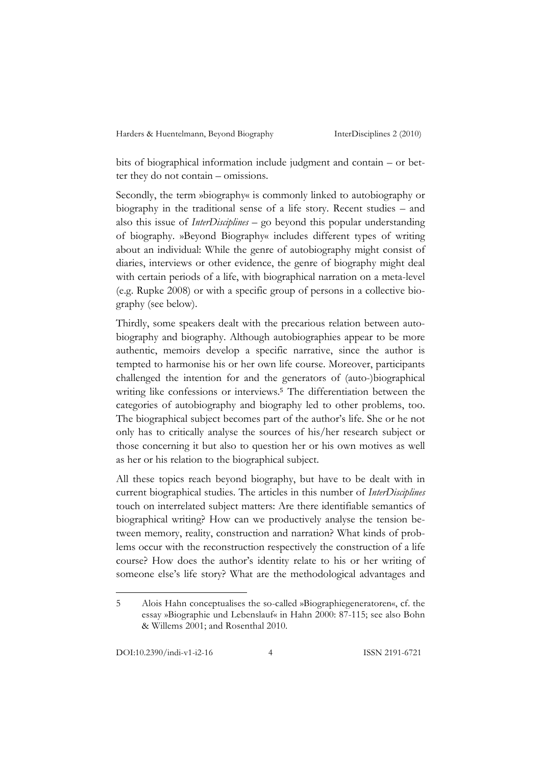bits of biographical information include judgment and contain – or better they do not contain – omissions.

Secondly, the term »biography« is commonly linked to autobiography or biography in the traditional sense of a life story. Recent studies – and also this issue of *InterDisciplines* – go beyond this popular understanding of biography. »Beyond Biography« includes different types of writing about an individual: While the genre of autobiography might consist of diaries, interviews or other evidence, the genre of biography might deal with certain periods of a life, with biographical narration on a meta-level (e.g. Rupke 2008) or with a specific group of persons in a collective biography (see below).

Thirdly, some speakers dealt with the precarious relation between autobiography and biography. Although autobiographies appear to be more authentic, memoirs develop a specific narrative, since the author is tempted to harmonise his or her own life course. Moreover, participants challenged the intention for and the generators of (auto-)biographical writing like confessions or interviews.<sup>5</sup> The differentiation between the categories of autobiography and biography led to other problems, too. The biographical subject becomes part of the author's life. She or he not only has to critically analyse the sources of his/her research subject or those concerning it but also to question her or his own motives as well as her or his relation to the biographical subject.

All these topics reach beyond biography, but have to be dealt with in current biographical studies. The articles in this number of *InterDisciplines* touch on interrelated subject matters: Are there identifiable semantics of biographical writing? How can we productively analyse the tension between memory, reality, construction and narration? What kinds of problems occur with the reconstruction respectively the construction of a life course? How does the author's identity relate to his or her writing of someone else's life story? What are the methodological advantages and

<sup>5</sup> Alois Hahn conceptualises the so-called »Biographiegeneratoren«, cf. the essay »Biographie und Lebenslauf« in Hahn 2000: 87-115; see also Bohn & Willems 2001; and Rosenthal 2010.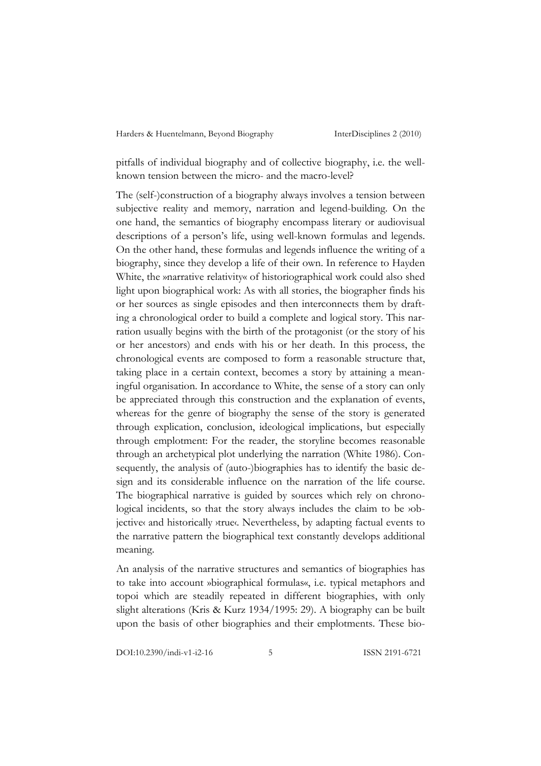pitfalls of individual biography and of collective biography, i.e. the wellknown tension between the micro- and the macro-level?

The (self-)construction of a biography always involves a tension between subjective reality and memory, narration and legend-building. On the one hand, the semantics of biography encompass literary or audiovisual descriptions of a person's life, using well-known formulas and legends. On the other hand, these formulas and legends influence the writing of a biography, since they develop a life of their own. In reference to Hayden White, the »narrative relativity« of historiographical work could also shed light upon biographical work: As with all stories, the biographer finds his or her sources as single episodes and then interconnects them by drafting a chronological order to build a complete and logical story. This narration usually begins with the birth of the protagonist (or the story of his or her ancestors) and ends with his or her death. In this process, the chronological events are composed to form a reasonable structure that, taking place in a certain context, becomes a story by attaining a meaningful organisation. In accordance to White, the sense of a story can only be appreciated through this construction and the explanation of events, whereas for the genre of biography the sense of the story is generated through explication, conclusion, ideological implications, but especially through emplotment: For the reader, the storyline becomes reasonable through an archetypical plot underlying the narration (White 1986). Consequently, the analysis of (auto-)biographies has to identify the basic design and its considerable influence on the narration of the life course. The biographical narrative is guided by sources which rely on chronological incidents, so that the story always includes the claim to be ›objective‹ and historically ›true‹. Nevertheless, by adapting factual events to the narrative pattern the biographical text constantly develops additional meaning.

An analysis of the narrative structures and semantics of biographies has to take into account »biographical formulas«, i.e. typical metaphors and topoi which are steadily repeated in different biographies, with only slight alterations (Kris & Kurz 1934/1995: 29). A biography can be built upon the basis of other biographies and their emplotments. These bio-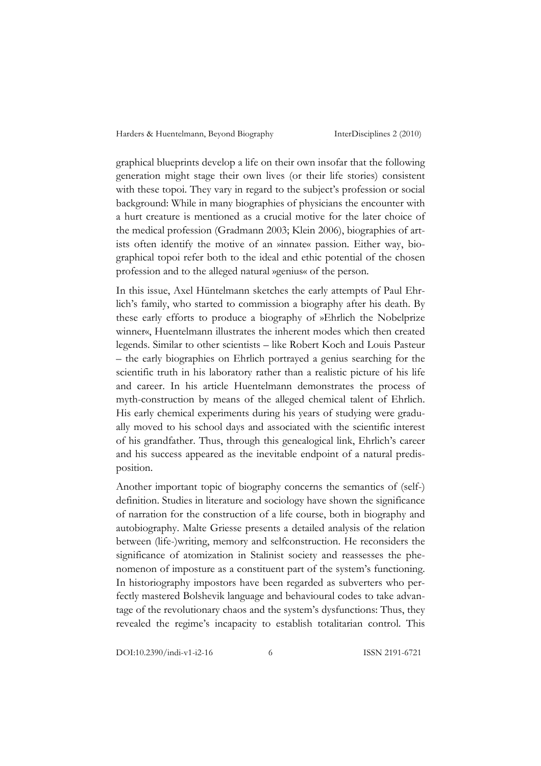graphical blueprints develop a life on their own insofar that the following generation might stage their own lives (or their life stories) consistent with these topoi. They vary in regard to the subject's profession or social background: While in many biographies of physicians the encounter with a hurt creature is mentioned as a crucial motive for the later choice of the medical profession (Gradmann 2003; Klein 2006), biographies of artists often identify the motive of an »innate« passion. Either way, biographical topoi refer both to the ideal and ethic potential of the chosen profession and to the alleged natural »genius« of the person.

In this issue, Axel Hüntelmann sketches the early attempts of Paul Ehrlich's family, who started to commission a biography after his death. By these early efforts to produce a biography of »Ehrlich the Nobelprize winner«, Huentelmann illustrates the inherent modes which then created legends. Similar to other scientists – like Robert Koch and Louis Pasteur – the early biographies on Ehrlich portrayed a genius searching for the scientific truth in his laboratory rather than a realistic picture of his life and career. In his article Huentelmann demonstrates the process of myth-construction by means of the alleged chemical talent of Ehrlich. His early chemical experiments during his years of studying were gradually moved to his school days and associated with the scientific interest of his grandfather. Thus, through this genealogical link, Ehrlich's career and his success appeared as the inevitable endpoint of a natural predisposition.

Another important topic of biography concerns the semantics of (self-) definition. Studies in literature and sociology have shown the significance of narration for the construction of a life course, both in biography and autobiography. Malte Griesse presents a detailed analysis of the relation between (life-)writing, memory and selfconstruction. He reconsiders the significance of atomization in Stalinist society and reassesses the phenomenon of imposture as a constituent part of the system's functioning. In historiography impostors have been regarded as subverters who perfectly mastered Bolshevik language and behavioural codes to take advantage of the revolutionary chaos and the system's dysfunctions: Thus, they revealed the regime's incapacity to establish totalitarian control. This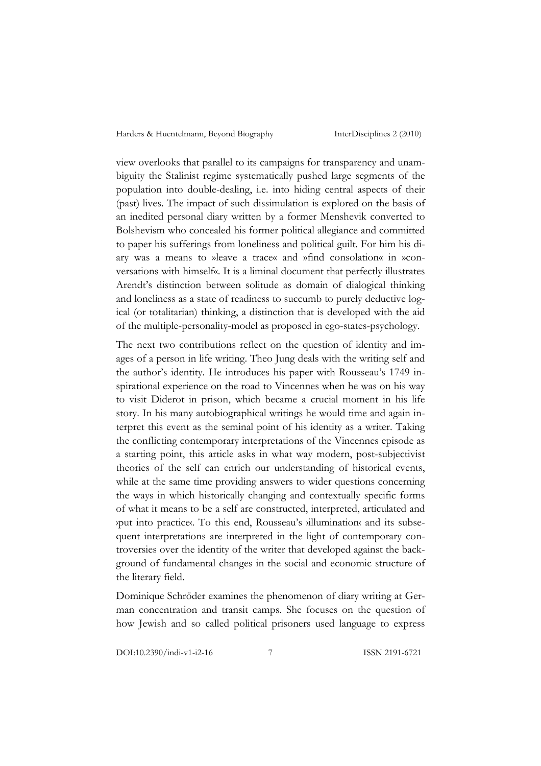view overlooks that parallel to its campaigns for transparency and unambiguity the Stalinist regime systematically pushed large segments of the population into double-dealing, i.e. into hiding central aspects of their (past) lives. The impact of such dissimulation is explored on the basis of an inedited personal diary written by a former Menshevik converted to Bolshevism who concealed his former political allegiance and committed to paper his sufferings from loneliness and political guilt. For him his diary was a means to »leave a trace« and »find consolation« in »conversations with himself«. It is a liminal document that perfectly illustrates Arendt's distinction between solitude as domain of dialogical thinking and loneliness as a state of readiness to succumb to purely deductive logical (or totalitarian) thinking, a distinction that is developed with the aid of the multiple-personality-model as proposed in ego-states-psychology.

The next two contributions reflect on the question of identity and images of a person in life writing. Theo Jung deals with the writing self and the author's identity. He introduces his paper with Rousseau's 1749 inspirational experience on the road to Vincennes when he was on his way to visit Diderot in prison, which became a crucial moment in his life story. In his many autobiographical writings he would time and again interpret this event as the seminal point of his identity as a writer. Taking the conflicting contemporary interpretations of the Vincennes episode as a starting point, this article asks in what way modern, post-subjectivist theories of the self can enrich our understanding of historical events, while at the same time providing answers to wider questions concerning the ways in which historically changing and contextually specific forms of what it means to be a self are constructed, interpreted, articulated and ›put into practice‹. To this end, Rousseau's ›illumination‹ and its subsequent interpretations are interpreted in the light of contemporary controversies over the identity of the writer that developed against the background of fundamental changes in the social and economic structure of the literary field.

Dominique Schröder examines the phenomenon of diary writing at German concentration and transit camps. She focuses on the question of how Jewish and so called political prisoners used language to express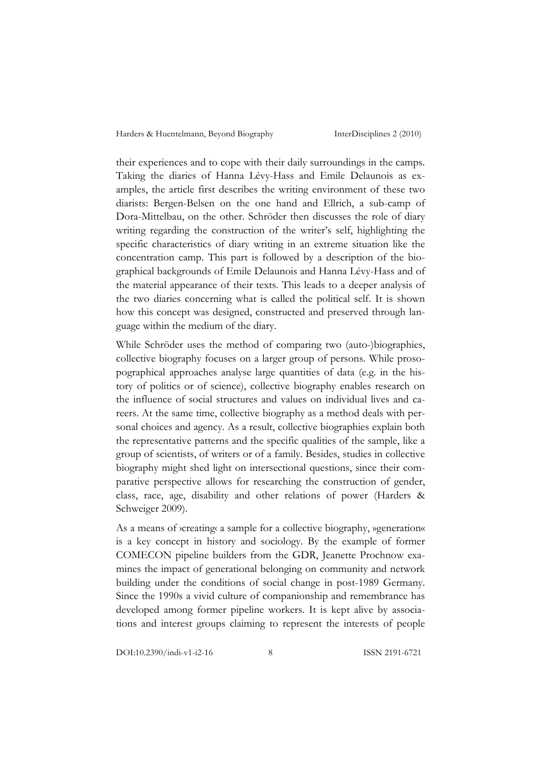their experiences and to cope with their daily surroundings in the camps. Taking the diaries of Hanna Lévy-Hass and Emile Delaunois as examples, the article first describes the writing environment of these two diarists: Bergen-Belsen on the one hand and Ellrich, a sub-camp of Dora-Mittelbau, on the other. Schröder then discusses the role of diary writing regarding the construction of the writer's self, highlighting the specific characteristics of diary writing in an extreme situation like the concentration camp. This part is followed by a description of the biographical backgrounds of Emile Delaunois and Hanna Lévy-Hass and of the material appearance of their texts. This leads to a deeper analysis of the two diaries concerning what is called the political self. It is shown how this concept was designed, constructed and preserved through language within the medium of the diary.

While Schröder uses the method of comparing two (auto-)biographies, collective biography focuses on a larger group of persons. While prosopographical approaches analyse large quantities of data (e.g. in the history of politics or of science), collective biography enables research on the influence of social structures and values on individual lives and careers. At the same time, collective biography as a method deals with personal choices and agency. As a result, collective biographies explain both the representative patterns and the specific qualities of the sample, like a group of scientists, of writers or of a family. Besides, studies in collective biography might shed light on intersectional questions, since their comparative perspective allows for researching the construction of gender, class, race, age, disability and other relations of power (Harders & Schweiger 2009).

As a means of *screating* a sample for a collective biography, *sgeneration*  $\alpha$ is a key concept in history and sociology. By the example of former COMECON pipeline builders from the GDR, Jeanette Prochnow examines the impact of generational belonging on community and network building under the conditions of social change in post-1989 Germany. Since the 1990s a vivid culture of companionship and remembrance has developed among former pipeline workers. It is kept alive by associations and interest groups claiming to represent the interests of people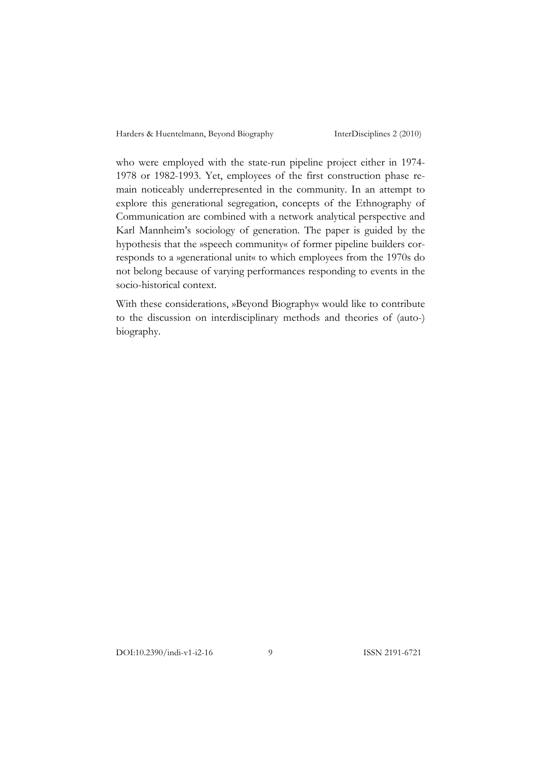who were employed with the state-run pipeline project either in 1974- 1978 or 1982-1993. Yet, employees of the first construction phase remain noticeably underrepresented in the community. In an attempt to explore this generational segregation, concepts of the Ethnography of Communication are combined with a network analytical perspective and Karl Mannheim's sociology of generation. The paper is guided by the hypothesis that the »speech community« of former pipeline builders corresponds to a »generational unit« to which employees from the 1970s do not belong because of varying performances responding to events in the socio-historical context.

With these considerations, »Beyond Biography« would like to contribute to the discussion on interdisciplinary methods and theories of (auto-) biography.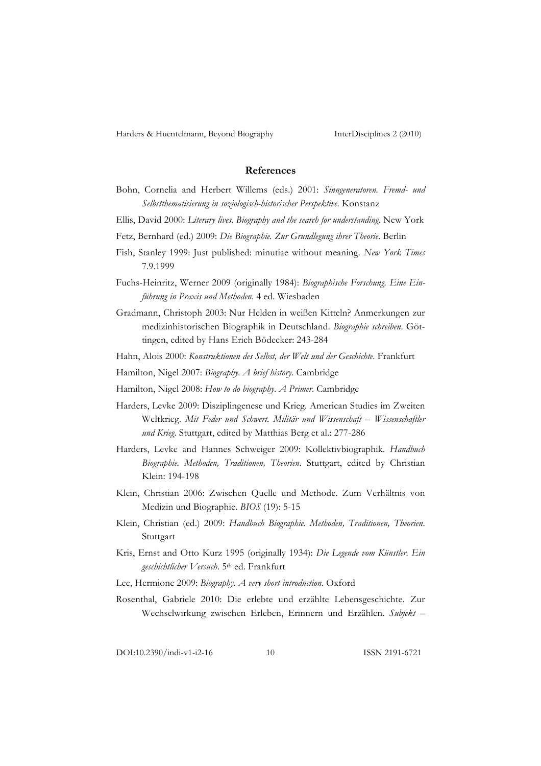## **References**

- Bohn, Cornelia and Herbert Willems (eds.) 2001: *Sinngeneratoren. Fremd- und Selbstthematisierung in soziologisch-historischer Perspektive*. Konstanz
- Ellis, David 2000: *Literary lives. Biography and the search for understanding*. New York
- Fetz, Bernhard (ed.) 2009: *Die Biographie. Zur Grundlegung ihrer Theorie*. Berlin
- Fish, Stanley 1999: Just published: minutiae without meaning. *New York Times* 7.9.1999
- Fuchs-Heinritz, Werner 2009 (originally 1984): *Biographische Forschung. Eine Einführung in Praxis und Methoden*. 4 ed. Wiesbaden
- Gradmann, Christoph 2003: Nur Helden in weißen Kitteln? Anmerkungen zur medizinhistorischen Biographik in Deutschland. *Biographie schreiben*. Göttingen, edited by Hans Erich Bödecker: 243-284
- Hahn, Alois 2000: *Konstruktionen des Selbst, der Welt und der Geschichte*. Frankfurt
- Hamilton, Nigel 2007: *Biography. A brief history*. Cambridge
- Hamilton, Nigel 2008: *How to do biography. A Primer*. Cambridge
- Harders, Levke 2009: Disziplingenese und Krieg. American Studies im Zweiten Weltkrieg. *Mit Feder und Schwert. Militär und Wissenschaft – Wissenschaftler und Krieg*. Stuttgart, edited by Matthias Berg et al.: 277-286
- Harders, Levke and Hannes Schweiger 2009: Kollektivbiographik. *Handbuch Biographie. Methoden, Traditionen, Theorien*. Stuttgart, edited by Christian Klein: 194-198
- Klein, Christian 2006: Zwischen Quelle und Methode. Zum Verhältnis von Medizin und Biographie. *BIOS* (19): 5-15
- Klein, Christian (ed.) 2009: *Handbuch Biographie. Methoden, Traditionen, Theorien*. Stuttgart
- Kris, Ernst and Otto Kurz 1995 (originally 1934): *Die Legende vom Künstler. Ein geschichtlicher Versuch*. 5th ed. Frankfurt
- Lee, Hermione 2009: *Biography. A very short introduction*. Oxford
- Rosenthal, Gabriele 2010: Die erlebte und erzählte Lebensgeschichte. Zur Wechselwirkung zwischen Erleben, Erinnern und Erzählen. *Subjekt –*